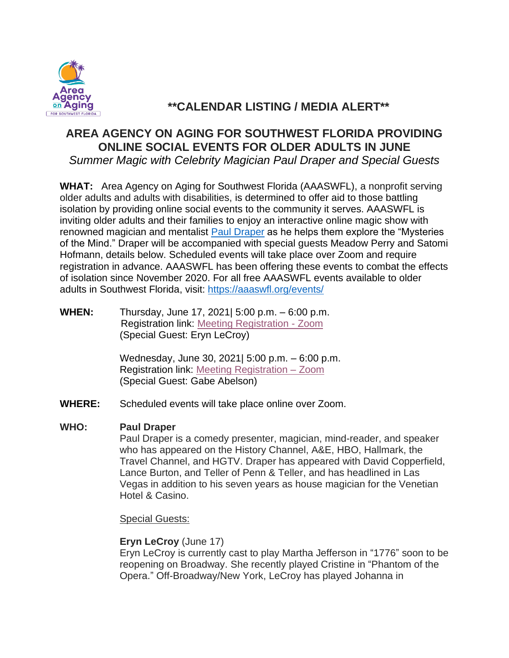

# **\*\*CALENDAR LISTING / MEDIA ALERT\*\***

# **AREA AGENCY ON AGING FOR SOUTHWEST FLORIDA PROVIDING ONLINE SOCIAL EVENTS FOR OLDER ADULTS IN JUNE**

*Summer Magic with Celebrity Magician Paul Draper and Special Guests*

**WHAT:** Area Agency on Aging for Southwest Florida (AAASWFL), a nonprofit serving older adults and adults with disabilities, is determined to offer aid to those battling isolation by providing online social events to the community it serves. AAASWFL is inviting older adults and their families to enjoy an interactive online magic show with renowned magician and mentalist [Paul Draper](https://pauldraper.com/) as he helps them explore the "Mysteries of the Mind." Draper will be accompanied with special guests Meadow Perry and Satomi Hofmann, details below. Scheduled events will take place over Zoom and require registration in advance. AAASWFL has been offering these events to combat the effects of isolation since November 2020. For all free AAASWFL events available to older adults in Southwest Florida, visit:<https://aaaswfl.org/events/>

**WHEN:** Thursday, June 17, 2021| 5:00 p.m. – 6:00 p.m. Registration link: [Meeting Registration -](https://us02web.zoom.us/meeting/register/tZcocuqopzsoGdJKwrRAHCXCihyTatGJTYwg) Zoom (Special Guest: Eryn LeCroy)

> Wednesday, June 30, 2021| 5:00 p.m. – 6:00 p.m. Registration link: [Meeting Registration –](https://us02web.zoom.us/meeting/register/tZ0vf-CgqjwjH9XuWSWHxdcbACHEoyxJ7t3G) Zoom (Special Guest: Gabe Abelson)

**WHERE:** Scheduled events will take place online over Zoom.

### **WHO: Paul Draper**

Paul Draper is a comedy presenter, magician, mind-reader, and speaker who has appeared on the History Channel, A&E, HBO, Hallmark, the Travel Channel, and HGTV. Draper has appeared with David Copperfield, Lance Burton, and Teller of Penn & Teller, and has headlined in Las Vegas in addition to his seven years as house magician for the Venetian Hotel & Casino.

Special Guests:

## **Eryn LeCroy** (June 17)

Eryn LeCroy is currently cast to play Martha Jefferson in "1776" soon to be reopening on Broadway. She recently played Cristine in "Phantom of the Opera." Off-Broadway/New York, LeCroy has played Johanna in